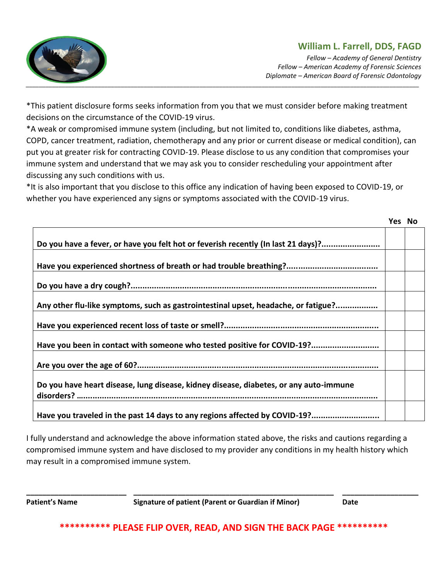

*Fellow – Academy of General Dentistry Fellow – American Academy of Forensic Sciences Diplomate – American Board of Forensic Odontology* 

*\_\_\_\_\_\_\_\_\_\_\_\_\_\_\_\_\_\_\_\_\_\_\_\_\_\_\_\_\_\_\_\_\_\_\_\_\_\_\_\_\_\_\_\_\_\_\_\_\_\_\_\_\_\_\_\_\_\_\_\_\_\_\_\_\_\_\_\_\_\_\_\_\_\_\_\_\_\_\_\_\_\_\_\_\_\_\_\_\_\_\_\_\_\_\_\_\_\_\_\_\_\_\_\_\_\_\_\_\_\_\_\_\_\_\_\_\_\_\_\_*

\*This patient disclosure forms seeks information from you that we must consider before making treatment decisions on the circumstance of the COVID-19 virus.

\*A weak or compromised immune system (including, but not limited to, conditions like diabetes, asthma, COPD, cancer treatment, radiation, chemotherapy and any prior or current disease or medical condition), can put you at greater risk for contracting COVID-19. Please disclose to us any condition that compromises your immune system and understand that we may ask you to consider rescheduling your appointment after discussing any such conditions with us.

\*It is also important that you disclose to this office any indication of having been exposed to COVID-19, or whether you have experienced any signs or symptoms associated with the COVID-19 virus.

|                                                                                       | Yes No |  |
|---------------------------------------------------------------------------------------|--------|--|
|                                                                                       |        |  |
| Do you have a fever, or have you felt hot or feverish recently (In last 21 days)?     |        |  |
|                                                                                       |        |  |
|                                                                                       |        |  |
|                                                                                       |        |  |
|                                                                                       |        |  |
|                                                                                       |        |  |
| Any other flu-like symptoms, such as gastrointestinal upset, headache, or fatigue?    |        |  |
|                                                                                       |        |  |
|                                                                                       |        |  |
| Have you been in contact with someone who tested positive for COVID-19?               |        |  |
|                                                                                       |        |  |
|                                                                                       |        |  |
|                                                                                       |        |  |
| Do you have heart disease, lung disease, kidney disease, diabetes, or any auto-immune |        |  |
|                                                                                       |        |  |
| Have you traveled in the past 14 days to any regions affected by COVID-19?            |        |  |
|                                                                                       |        |  |

I fully understand and acknowledge the above information stated above, the risks and cautions regarding a compromised immune system and have disclosed to my provider any conditions in my health history which may result in a compromised immune system.

**\_\_\_\_\_\_\_\_\_\_\_\_\_\_\_\_\_\_\_\_\_\_\_\_\_ \_\_\_\_\_\_\_\_\_\_\_\_\_\_\_\_\_\_\_\_\_\_\_\_\_\_\_\_\_\_\_\_\_\_\_\_\_\_\_\_\_\_\_\_\_\_\_\_\_\_ \_\_\_\_\_\_\_\_\_\_\_\_\_\_\_\_\_\_\_ Patient's Name Signature of patient (Parent or Guardian if Minor) Date**

**\*\*\*\*\*\*\*\*\*\* PLEASE FLIP OVER, READ, AND SIGN THE BACK PAGE \*\*\*\*\*\*\*\*\*\***